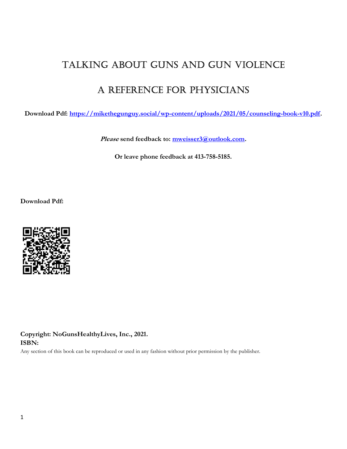# Talking abouT guns and gun violence

# a reference for physicians

Download Pdf: https://mikethegunguy.social/wp-content/uploads/2021/05/counseling-book-v10.pdf.

Please send feedback to: mweisser3@outlook.com.

Or leave phone feedback at 413-758-5185.

Download Pdf:



Copyright: NoGunsHealthyLives, Inc., 2021. ISBN:

Any section of this book can be reproduced or used in any fashion without prior permission by the publisher.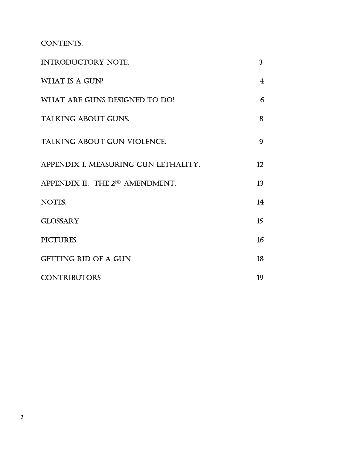conTenTs.

| <b>INTRODUCTORY NOTE.</b>            | 3                |
|--------------------------------------|------------------|
| <b>WHAT IS A GUN?</b>                | 4                |
| WHAT ARE GUNS DESIGNED TO DO?        | 6                |
| <b>TALKING ABOUT GUNS.</b>           | 8                |
| <b>TALKING ABOUT GUN VIOLENCE.</b>   | 9                |
| APPENDIX I. MEASURING GUN LETHALITY. | 12 <sub>12</sub> |
| APPENDIX II. THE 2ND AMENDMENT.      | 13               |
| NOTES.                               | 14               |
| <b>GLOSSARY</b>                      | 15               |
| <b>PICTURES</b>                      | 16               |
| <b>GETTING RID OF A GUN</b>          | 18               |
| <b>CONTRIBUTORS</b>                  | 19               |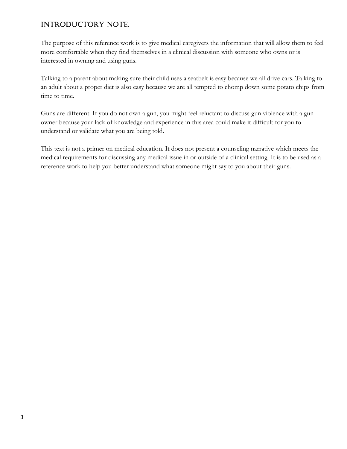### inTroducTory noTe.

The purpose of this reference work is to give medical caregivers the information that will allow them to feel more comfortable when they find themselves in a clinical discussion with someone who owns or is interested in owning and using guns.

Talking to a parent about making sure their child uses a seatbelt is easy because we all drive cars. Talking to an adult about a proper diet is also easy because we are all tempted to chomp down some potato chips from time to time.

Guns are different. If you do not own a gun, you might feel reluctant to discuss gun violence with a gun owner because your lack of knowledge and experience in this area could make it difficult for you to understand or validate what you are being told.

This text is not a primer on medical education. It does not present a counseling narrative which meets the medical requirements for discussing any medical issue in or outside of a clinical setting. It is to be used as a reference work to help you better understand what someone might say to you about their guns.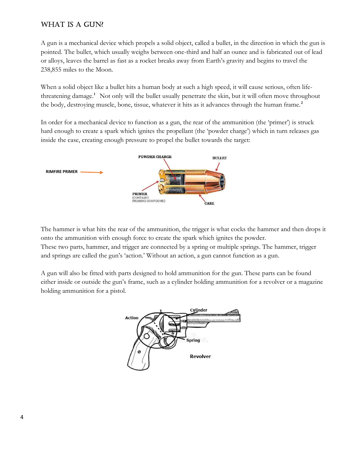### WhaT is a gun?

A gun is a mechanical device which propels a solid object, called a bullet, in the direction in which the gun is pointed. The bullet, which usually weighs between one-third and half an ounce and is fabricated out of lead or alloys, leaves the barrel as fast as a rocket breaks away from Earth's gravity and begins to travel the 238,855 miles to the Moon.

When a solid object like a bullet hits a human body at such a high speed, it will cause serious, often lifethreatening damage.<sup>1</sup> Not only will the bullet usually penetrate the skin, but it will often move throughout the body, destroying muscle, bone, tissue, whatever it hits as it advances through the human frame.<sup>2</sup>

In order for a mechanical device to function as a gun, the rear of the ammunition (the 'primer') is struck hard enough to create a spark which ignites the propellant (the 'powder charge') which in turn releases gas inside the case, creating enough pressure to propel the bullet towards the target:



The hammer is what hits the rear of the ammunition, the trigger is what cocks the hammer and then drops it onto the ammunition with enough force to create the spark which ignites the powder. These two parts, hammer, and trigger are connected by a spring or multiple springs. The hammer, trigger and springs are called the gun's 'action.' Without an action, a gun cannot function as a gun.

A gun will also be fitted with parts designed to hold ammunition for the gun. These parts can be found either inside or outside the gun's frame, such as a cylinder holding ammunition for a revolver or a magazine holding ammunition for a pistol.

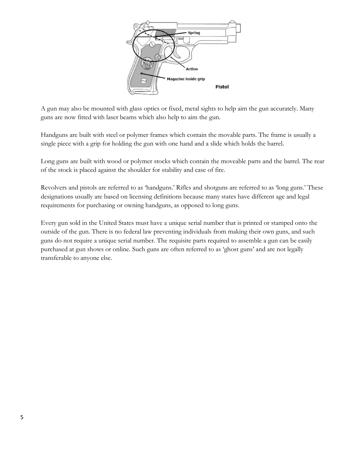

A gun may also be mounted with glass optics or fixed, metal sights to help aim the gun accurately. Many guns are now fitted with laser beams which also help to aim the gun.

Handguns are built with steel or polymer frames which contain the movable parts. The frame is usually a single piece with a grip for holding the gun with one hand and a slide which holds the barrel.

Long guns are built with wood or polymer stocks which contain the moveable parts and the barrel. The rear of the stock is placed against the shoulder for stability and ease of fire.

Revolvers and pistols are referred to as 'handguns.' Rifles and shotguns are referred to as 'long guns.' These designations usually are based on licensing definitions because many states have different age and legal requirements for purchasing or owning handguns, as opposed to long guns.

Every gun sold in the United States must have a unique serial number that is printed or stamped onto the outside of the gun. There is no federal law preventing individuals from making their own guns, and such guns do not require a unique serial number. The requisite parts required to assemble a gun can be easily purchased at gun shows or online. Such guns are often referred to as 'ghost guns' and are not legally transferable to anyone else.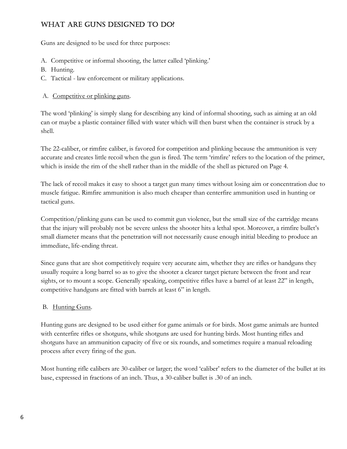## WHAT ARE GUNS DESIGNED TO DO?

Guns are designed to be used for three purposes:

- A. Competitive or informal shooting, the latter called 'plinking.'
- B. Hunting.
- C. Tactical law enforcement or military applications.

#### A. Competitive or plinking guns.

The word 'plinking' is simply slang for describing any kind of informal shooting, such as aiming at an old can or maybe a plastic container filled with water which will then burst when the container is struck by a shell.

The 22-caliber, or rimfire caliber, is favored for competition and plinking because the ammunition is very accurate and creates little recoil when the gun is fired. The term 'rimfire' refers to the location of the primer, which is inside the rim of the shell rather than in the middle of the shell as pictured on Page 4.

The lack of recoil makes it easy to shoot a target gun many times without losing aim or concentration due to muscle fatigue. Rimfire ammunition is also much cheaper than centerfire ammunition used in hunting or tactical guns.

Competition/plinking guns can be used to commit gun violence, but the small size of the cartridge means that the injury will probably not be severe unless the shooter hits a lethal spot. Moreover, a rimfire bullet's small diameter means that the penetration will not necessarily cause enough initial bleeding to produce an immediate, life-ending threat.

Since guns that are shot competitively require very accurate aim, whether they are rifles or handguns they usually require a long barrel so as to give the shooter a clearer target picture between the front and rear sights, or to mount a scope. Generally speaking, competitive rifles have a barrel of at least 22" in length, competitive handguns are fitted with barrels at least 6" in length.

#### B. Hunting Guns.

Hunting guns are designed to be used either for game animals or for birds. Most game animals are hunted with centerfire rifles or shotguns, while shotguns are used for hunting birds. Most hunting rifles and shotguns have an ammunition capacity of five or six rounds, and sometimes require a manual reloading process after every firing of the gun.

Most hunting rifle calibers are 30-caliber or larger; the word 'caliber' refers to the diameter of the bullet at its base, expressed in fractions of an inch. Thus, a 30-caliber bullet is .30 of an inch.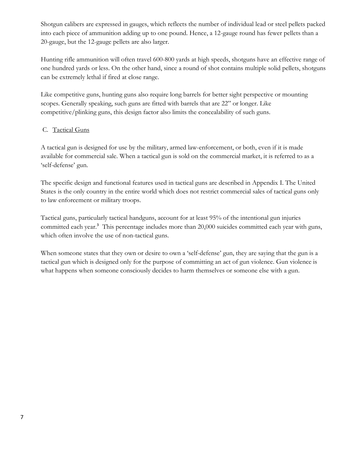Shotgun calibers are expressed in gauges, which reflects the number of individual lead or steel pellets packed into each piece of ammunition adding up to one pound. Hence, a 12-gauge round has fewer pellets than a 20-gauge, but the 12-gauge pellets are also larger.

Hunting rifle ammunition will often travel 600-800 yards at high speeds, shotguns have an effective range of one hundred yards or less. On the other hand, since a round of shot contains multiple solid pellets, shotguns can be extremely lethal if fired at close range.

Like competitive guns, hunting guns also require long barrels for better sight perspective or mounting scopes. Generally speaking, such guns are fitted with barrels that are 22" or longer. Like competitive/plinking guns, this design factor also limits the concealability of such guns.

#### C. Tactical Guns

A tactical gun is designed for use by the military, armed law-enforcement, or both, even if it is made available for commercial sale. When a tactical gun is sold on the commercial market, it is referred to as a 'self-defense' gun.

The specific design and functional features used in tactical guns are described in Appendix I. The United States is the only country in the entire world which does not restrict commercial sales of tactical guns only to law enforcement or military troops.

Tactical guns, particularly tactical handguns, account for at least 95% of the intentional gun injuries committed each year.<sup>3</sup> This percentage includes more than 20,000 suicides committed each year with guns, which often involve the use of non-tactical guns.

When someone states that they own or desire to own a 'self-defense' gun, they are saying that the gun is a tactical gun which is designed only for the purpose of committing an act of gun violence. Gun violence is what happens when someone consciously decides to harm themselves or someone else with a gun.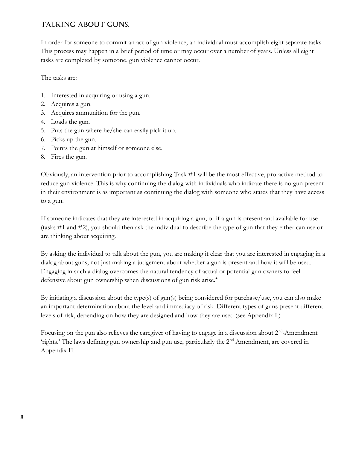## Talking abouT guns.

In order for someone to commit an act of gun violence, an individual must accomplish eight separate tasks. This process may happen in a brief period of time or may occur over a number of years. Unless all eight tasks are completed by someone, gun violence cannot occur.

The tasks are:

- 1. Interested in acquiring or using a gun.
- 2. Acquires a gun.
- 3. Acquires ammunition for the gun.
- 4. Loads the gun.
- 5. Puts the gun where he/she can easily pick it up.
- 6. Picks up the gun.
- 7. Points the gun at himself or someone else.
- 8. Fires the gun.

Obviously, an intervention prior to accomplishing Task #1 will be the most effective, pro-active method to reduce gun violence. This is why continuing the dialog with individuals who indicate there is no gun present in their environment is as important as continuing the dialog with someone who states that they have access to a gun.

If someone indicates that they are interested in acquiring a gun, or if a gun is present and available for use (tasks #1 and #2), you should then ask the individual to describe the type of gun that they either can use or are thinking about acquiring.

By asking the individual to talk about the gun, you are making it clear that you are interested in engaging in a dialog about guns, not just making a judgement about whether a gun is present and how it will be used. Engaging in such a dialog overcomes the natural tendency of actual or potential gun owners to feel defensive about gun ownership when discussions of gun risk arise.<sup>4</sup>

By initiating a discussion about the type(s) of gun(s) being considered for purchase/use, you can also make an important determination about the level and immediacy of risk. Different types of guns present different levels of risk, depending on how they are designed and how they are used (see Appendix I.)

Focusing on the gun also relieves the caregiver of having to engage in a discussion about 2<sup>nd</sup>-Amendment 'rights.' The laws defining gun ownership and gun use, particularly the 2nd Amendment, are covered in Appendix II.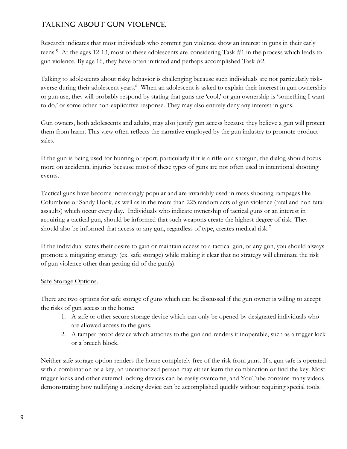# Talking abouT gun violence.

Research indicates that most individuals who commit gun violence show an interest in guns in their early teens.5 At the ages 12-13, most of these adolescents are considering Task #1 in the process which leads to gun violence. By age 16, they have often initiated and perhaps accomplished Task #2.

Talking to adolescents about risky behavior is challenging because such individuals are not particularly riskaverse during their adolescent years.<sup>6</sup> When an adolescent is asked to explain their interest in gun ownership or gun use, they will probably respond by stating that guns are 'cool,' or gun ownership is 'something I want to do,' or some other non-explicative response. They may also entirely deny any interest in guns.

Gun owners, both adolescents and adults, may also justify gun access because they believe a gun will protect them from harm. This view often reflects the narrative employed by the gun industry to promote product sales.

If the gun is being used for hunting or sport, particularly if it is a rifle or a shotgun, the dialog should focus more on accidental injuries because most of these types of guns are not often used in intentional shooting events.

Tactical guns have become increasingly popular and are invariably used in mass shooting rampages like Columbine or Sandy Hook, as well as in the more than 225 random acts of gun violence (fatal and non-fatal assaults) which occur every day. Individuals who indicate ownership of tactical guns or an interest in acquiring a tactical gun, should be informed that such weapons create the highest degree of risk. They should also be informed that access to any gun, regardless of type, creates medical risk.<sup>7</sup>

If the individual states their desire to gain or maintain access to a tactical gun, or any gun, you should always promote a mitigating strategy (ex. safe storage) while making it clear that no strategy will eliminate the risk of gun violence other than getting rid of the gun(s).

#### Safe Storage Options.

There are two options for safe storage of guns which can be discussed if the gun owner is willing to accept the risks of gun access in the home:

- 1. A safe or other secure storage device which can only be opened by designated individuals who are allowed access to the guns.
- 2. A tamper-proof device which attaches to the gun and renders it inoperable, such as a trigger lock or a breech block.

Neither safe storage option renders the home completely free of the risk from guns. If a gun safe is operated with a combination or a key, an unauthorized person may either learn the combination or find the key. Most trigger locks and other external locking devices can be easily overcome, and YouTube contains many videos demonstrating how nullifying a locking device can be accomplished quickly without requiring special tools.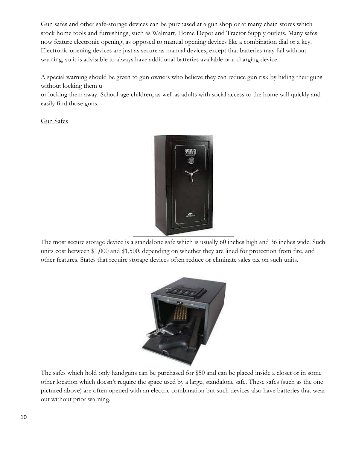Gun safes and other safe-storage devices can be purchased at a gun shop or at many chain stores which stock home tools and furnishings, such as Walmart, Home Depot and Tractor Supply outlets. Many safes now feature electronic opening, as opposed to manual opening devices like a combination dial or a key. Electronic opening devices are just as secure as manual devices, except that batteries may fail without warning, so it is advisable to always have additional batteries available or a charging device.

A special warning should be given to gun owners who believe they can reduce gun risk by hiding their guns without locking them u

or locking them away. School-age children, as well as adults with social access to the home will quickly and easily find those guns.

Gun Safes



The most secure storage device is a standalone safe which is usually 60 inches high and 36 inches wide. Such units cost between \$1,000 and \$1,500, depending on whether they are lined for protection from fire, and other features. States that require storage devices often reduce or eliminate sales tax on such units.



The safes which hold only handguns can be purchased for \$50 and can be placed inside a closet or in some other location which doesn't require the space used by a large, standalone safe. These safes (such as the one pictured above) are often opened with an electric combination but such devices also have batteries that wear out without prior warning.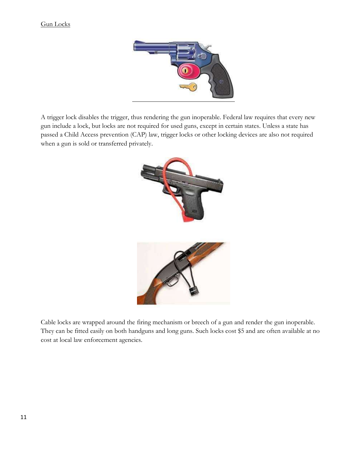#### Gun Locks



A trigger lock disables the trigger, thus rendering the gun inoperable. Federal law requires that every new gun include a lock, but locks are not required for used guns, except in certain states. Unless a state has passed a Child Access prevention (CAP) law, trigger locks or other locking devices are also not required when a gun is sold or transferred privately.



Cable locks are wrapped around the firing mechanism or breech of a gun and render the gun inoperable. They can be fitted easily on both handguns and long guns. Such locks cost \$5 and are often available at no cost at local law enforcement agencies.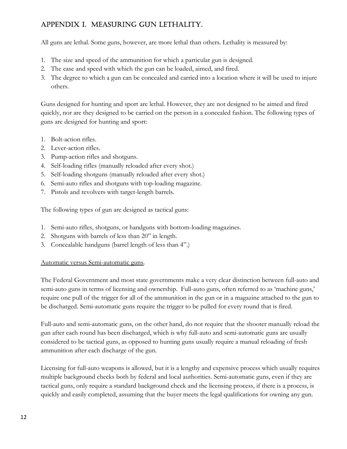# appendiX i. measuring gun leThaliTy.

All guns are lethal. Some guns, however, are more lethal than others. Lethality is measured by:

- 1. The size and speed of the ammunition for which a particular gun is designed.
- 2. The ease and speed with which the gun can be loaded, aimed, and fired.
- 3. The degree to which a gun can be concealed and carried into a location where it will be used to injure others.

Guns designed for hunting and sport are lethal. However, they are not designed to be aimed and fired quickly, nor are they designed to be carried on the person in a concealed fashion. The following types of guns are designed for hunting and sport:

- 1. Bolt-action rifles.
- 2. Lever-action rifles.
- 3. Pump-action rifles and shotguns.
- 4. Self-loading rifles (manually reloaded after every shot.)
- 5. Self-loading shotguns (manually reloaded after every shot.)
- 6. Semi-auto rifles and shotguns with top-loading magazine.
- 7. Pistols and revolvers with target-length barrels.

The following types of gun are designed as tactical guns:

- 1. Semi-auto rifles, shotguns, or handguns with bottom-loading magazines.
- 2. Shotguns with barrels of less than 20" in length.
- 3. Concealable handguns (barrel length of less than 4".)

#### Automatic versus Semi-automatic guns.

The Federal Government and most state governments make a very clear distinction between full-auto and semi-auto guns in terms of licensing and ownership. Full-auto guns, often referred to as 'machine guns,' require one pull of the trigger for all of the ammunition in the gun or in a magazine attached to the gun to be discharged. Semi-automatic guns require the trigger to be pulled for every round that is fired.

Full-auto and semi-automatic guns, on the other hand, do not require that the shooter manually reload the gun after each round has been discharged, which is why full-auto and semi-automatic guns are usually considered to be tactical guns, as opposed to hunting guns usually require a manual reloading of fresh ammunition after each discharge of the gun.

Licensing for full-auto weapons is allowed, but it is a lengthy and expensive process which usually requires multiple background checks both by federal and local authorities. Semi-automatic guns, even if they are tactical guns, only require a standard background check and the licensing process, if there is a process, is quickly and easily completed, assuming that the buyer meets the legal qualifications for owning any gun.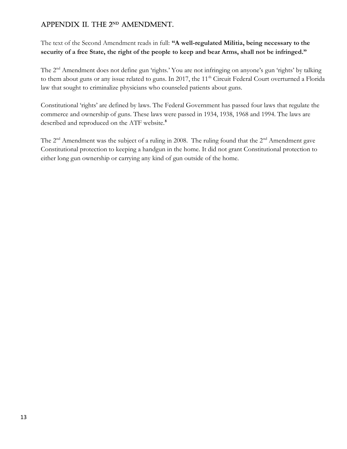# APPENDIX II. THE 2ND AMENDMENT.

The text of the Second Amendment reads in full: "A well-regulated Militia, being necessary to the security of a free State, the right of the people to keep and bear Arms, shall not be infringed."

The 2<sup>nd</sup> Amendment does not define gun 'rights.' You are not infringing on anyone's gun 'rights' by talking to them about guns or any issue related to guns. In 2017, the 11<sup>th</sup> Circuit Federal Court overturned a Florida law that sought to criminalize physicians who counseled patients about guns.

Constitutional 'rights' are defined by laws. The Federal Government has passed four laws that regulate the commerce and ownership of guns. These laws were passed in 1934, 1938, 1968 and 1994. The laws are described and reproduced on the ATF website.<sup>8</sup>

The  $2<sup>nd</sup>$  Amendment was the subject of a ruling in 2008. The ruling found that the  $2<sup>nd</sup>$  Amendment gave Constitutional protection to keeping a handgun in the home. It did not grant Constitutional protection to either long gun ownership or carrying any kind of gun outside of the home.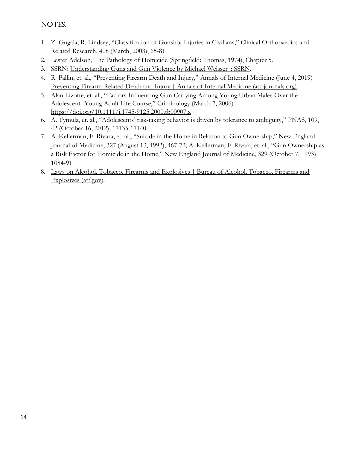### NOTES.

- 1. Z. Gugala, R. Lindsey, "Classification of Gunshot Injuries in Civilians," Clinical Orthopaedics and Related Research, 408 (March, 2003), 65-81.
- 2. Lester Adelson, The Pathology of Homicide (Springfield: Thomas, 1974), Chapter 5.
- 3. SSRN: Understanding Guns and Gun Violence by Michael Weisser :: SSRN.
- 4. R. Pallin, et. al., "Preventing Firearm Death and Injury," Annals of Internal Medicine (June 4, 2019) Preventing Firearm-Related Death and Injury | Annals of Internal Medicine (acpjournals.org).
- 5. Alan Lizotte, et. al., "Factors Influencing Gun Carrying Among Young Urban Males Over the Adolescent -Young Adult Life Course," Criminology (March 7, 2006) https://doi.org/10.1111/j.1745-9125.2000.tb00907.x
- 6. A. Tymula, et. al., "Adolescents' risk-taking behavior is driven by tolerance to ambiguity," PNAS, 109, 42 (October 16, 2012), 17135-17140.
- 7. A. Kellerman, F. Rivara, et. al., "Suicide in the Home in Relation to Gun Ownership," New England Journal of Medicine, 327 (August 13, 1992), 467-72; A. Kellerman, F. Rivara, et. al., "Gun Ownership as a Risk Factor for Homicide in the Home," New England Journal of Medicine, 329 (October 7, 1993) 1084-91.
- 8. Laws on Alcohol, Tobacco, Firearms and Explosives | Bureau of Alcohol, Tobacco, Firearms and Explosives (atf.gov).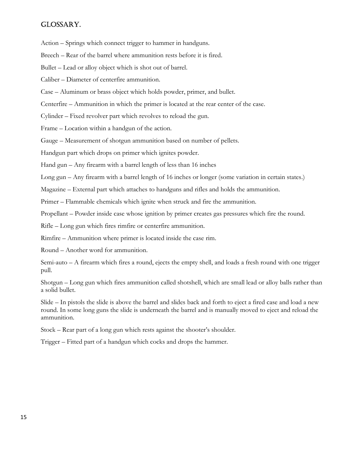#### glossary.

Action – Springs which connect trigger to hammer in handguns.

Breech – Rear of the barrel where ammunition rests before it is fired.

Bullet – Lead or alloy object which is shot out of barrel.

Caliber – Diameter of centerfire ammunition.

Case – Aluminum or brass object which holds powder, primer, and bullet.

Centerfire – Ammunition in which the primer is located at the rear center of the case.

Cylinder – Fixed revolver part which revolves to reload the gun.

Frame – Location within a handgun of the action.

Gauge – Measurement of shotgun ammunition based on number of pellets.

Handgun part which drops on primer which ignites powder.

Hand gun – Any firearm with a barrel length of less than 16 inches

Long gun – Any firearm with a barrel length of 16 inches or longer (some variation in certain states.)

Magazine – External part which attaches to handguns and rifles and holds the ammunition.

Primer – Flammable chemicals which ignite when struck and fire the ammunition.

Propellant – Powder inside case whose ignition by primer creates gas pressures which fire the round.

Rifle – Long gun which fires rimfire or centerfire ammunition.

Rimfire – Ammunition where primer is located inside the case rim.

Round – Another word for ammunition.

Semi-auto – A firearm which fires a round, ejects the empty shell, and loads a fresh round with one trigger pull.

Shotgun – Long gun which fires ammunition called shotshell, which are small lead or alloy balls rather than a solid bullet.

Slide – In pistols the slide is above the barrel and slides back and forth to eject a fired case and load a new round. In some long guns the slide is underneath the barrel and is manually moved to eject and reload the ammunition.

Stock – Rear part of a long gun which rests against the shooter's shoulder.

Trigger – Fitted part of a handgun which cocks and drops the hammer.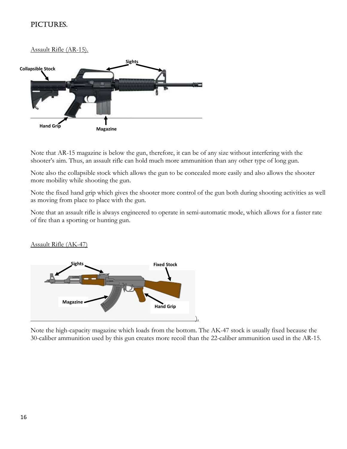### picTures.

Assault Rifle (AR-15).



Note that AR-15 magazine is below the gun, therefore, it can be of any size without interfering with the shooter's aim. Thus, an assault rifle can hold much more ammunition than any other type of long gun.

Note also the collapsible stock which allows the gun to be concealed more easily and also allows the shooter more mobility while shooting the gun.

Note the fixed hand grip which gives the shooter more control of the gun both during shooting activities as well as moving from place to place with the gun.

Note that an assault rifle is always engineered to operate in semi-automatic mode, which allows for a faster rate of fire than a sporting or hunting gun.

Assault Rifle (AK-47)



Note the high-capacity magazine which loads from the bottom. The AK-47 stock is usually fixed because the 30-caliber ammunition used by this gun creates more recoil than the 22-caliber ammunition used in the AR-15.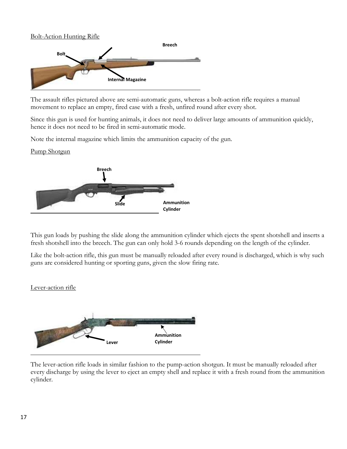#### Bolt-Action Hunting Rifle



The assault rifles pictured above are semi-automatic guns, whereas a bolt-action rifle requires a manual movement to replace an empty, fired case with a fresh, unfired round after every shot.

Since this gun is used for hunting animals, it does not need to deliver large amounts of ammunition quickly, hence it does not need to be fired in semi-automatic mode.

Note the internal magazine which limits the ammunition capacity of the gun.

Pump Shotgun



This gun loads by pushing the slide along the ammunition cylinder which ejects the spent shotshell and inserts a fresh shotshell into the breech. The gun can only hold 3-6 rounds depending on the length of the cylinder.

Like the bolt-action rifle, this gun must be manually reloaded after every round is discharged, which is why such guns are considered hunting or sporting guns, given the slow firing rate.

#### Lever-action rifle



The lever-action rifle loads in similar fashion to the pump-action shotgun. It must be manually reloaded after every discharge by using the lever to eject an empty shell and replace it with a fresh round from the ammunition cylinder.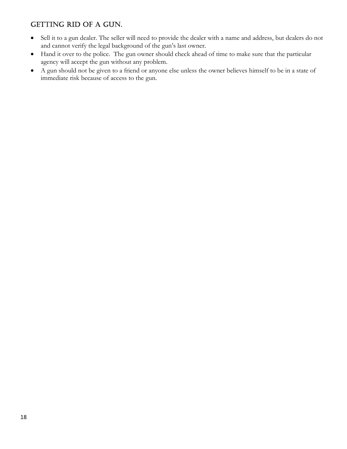### GETTING RID OF A GUN.

- Sell it to a gun dealer. The seller will need to provide the dealer with a name and address, but dealers do not and cannot verify the legal background of the gun's last owner.
- Hand it over to the police. The gun owner should check ahead of time to make sure that the particular agency will accept the gun without any problem.
- A gun should not be given to a friend or anyone else unless the owner believes himself to be in a state of immediate risk because of access to the gun.